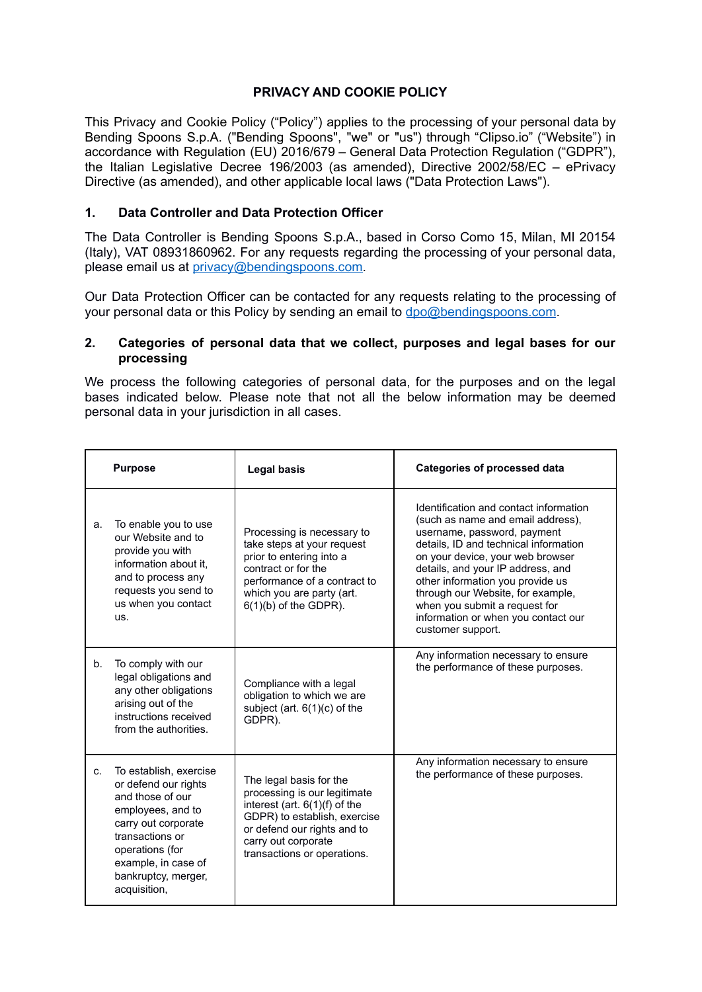## **PRIVACY AND COOKIE POLICY**

This Privacy and Cookie Policy ("Policy") applies to the processing of your personal data by Bending Spoons S.p.A. ("Bending Spoons", "we" or "us") through "Clipso.io" ("Website") in accordance with Regulation (EU) 2016/679 – General Data Protection Regulation ("GDPR"), the Italian Legislative Decree 196/2003 (as amended), Directive 2002/58/EC – ePrivacy Directive (as amended), and other applicable local laws ("Data Protection Laws").

### **1. Data Controller and Data Protection Officer**

The Data Controller is Bending Spoons S.p.A., based in Corso Como 15, Milan, MI 20154 (Italy), VAT 08931860962. For any requests regarding the processing of your personal data, please email us at [privacy@bendingspoons.com](mailto:privacy@bendingspoons.com).

Our Data Protection Officer can be contacted for any requests relating to the processing of your personal data or this Policy by sending an email to [dpo@bendingspoons.com](mailto:dpo@bendingspoons.com).

### **2. Categories of personal data that we collect, purposes and legal bases for our processing**

We process the following categories of personal data, for the purposes and on the legal bases indicated below. Please note that not all the below information may be deemed personal data in your jurisdiction in all cases.

| <b>Purpose</b> |                                                                                                                                                                                                                    | <b>Legal basis</b>                                                                                                                                                                                            | <b>Categories of processed data</b>                                                                                                                                                                                                                                                                                                                                                                |  |  |
|----------------|--------------------------------------------------------------------------------------------------------------------------------------------------------------------------------------------------------------------|---------------------------------------------------------------------------------------------------------------------------------------------------------------------------------------------------------------|----------------------------------------------------------------------------------------------------------------------------------------------------------------------------------------------------------------------------------------------------------------------------------------------------------------------------------------------------------------------------------------------------|--|--|
| a.             | To enable you to use<br>our Website and to<br>provide you with<br>information about it.<br>and to process any<br>requests you send to<br>us when you contact<br>us.                                                | Processing is necessary to<br>take steps at your request<br>prior to entering into a<br>contract or for the<br>performance of a contract to<br>which you are party (art.<br>$6(1)(b)$ of the GDPR).           | Identification and contact information<br>(such as name and email address).<br>username, password, payment<br>details, ID and technical information<br>on your device, your web browser<br>details, and your IP address, and<br>other information you provide us<br>through our Website, for example,<br>when you submit a request for<br>information or when you contact our<br>customer support. |  |  |
| b.             | To comply with our<br>legal obligations and<br>any other obligations<br>arising out of the<br>instructions received<br>from the authorities.                                                                       | Compliance with a legal<br>obligation to which we are<br>subject (art. $6(1)(c)$ of the<br>GDPR).                                                                                                             | Any information necessary to ensure<br>the performance of these purposes.                                                                                                                                                                                                                                                                                                                          |  |  |
| C.             | To establish, exercise<br>or defend our rights<br>and those of our<br>employees, and to<br>carry out corporate<br>transactions or<br>operations (for<br>example, in case of<br>bankruptcy, merger,<br>acquisition, | The legal basis for the<br>processing is our legitimate<br>interest (art. 6(1)(f) of the<br>GDPR) to establish, exercise<br>or defend our rights and to<br>carry out corporate<br>transactions or operations. | Any information necessary to ensure<br>the performance of these purposes.                                                                                                                                                                                                                                                                                                                          |  |  |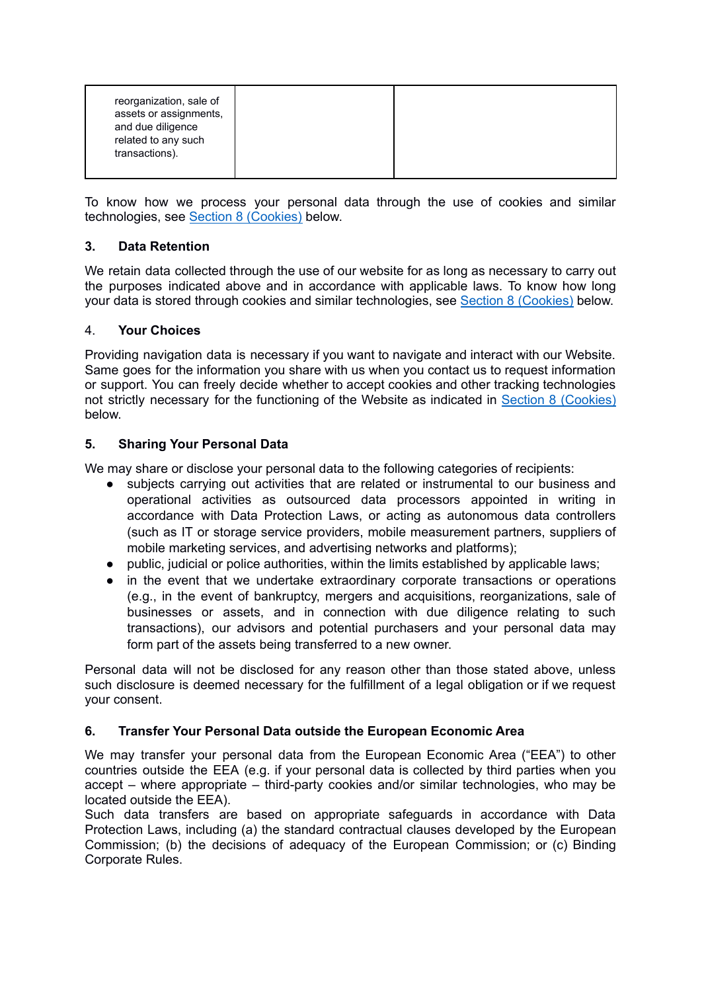| reorganization, sale of<br>assets or assignments,<br>and due diligence<br>related to any such<br>transactions). |  |  |  |
|-----------------------------------------------------------------------------------------------------------------|--|--|--|
|-----------------------------------------------------------------------------------------------------------------|--|--|--|

To know how we process your personal data through the use of cookies and similar technologies, see Section 8 [\(Cookies\)](#page-2-0) below.

# **3. Data Retention**

We retain data collected through the use of our website for as long as necessary to carry out the purposes indicated above and in accordance with applicable laws. To know how long your data is stored through cookies and similar technologies, see Section 8 [\(Cookies\)](#page-2-0) below.

## 4. **Your Choices**

Providing navigation data is necessary if you want to navigate and interact with our Website. Same goes for the information you share with us when you contact us to request information or support. You can freely decide whether to accept cookies and other tracking technologies not strictly necessary for the functioning of the Website as indicated in Section 8 [\(Cookies\)](#page-2-0) below.

# **5. Sharing Your Personal Data**

We may share or disclose your personal data to the following categories of recipients:

- subjects carrying out activities that are related or instrumental to our business and operational activities as outsourced data processors appointed in writing in accordance with Data Protection Laws, or acting as autonomous data controllers (such as IT or storage service providers, mobile measurement partners, suppliers of mobile marketing services, and advertising networks and platforms);
- public, judicial or police authorities, within the limits established by applicable laws;
- in the event that we undertake extraordinary corporate transactions or operations (e.g., in the event of bankruptcy, mergers and acquisitions, reorganizations, sale of businesses or assets, and in connection with due diligence relating to such transactions), our advisors and potential purchasers and your personal data may form part of the assets being transferred to a new owner.

Personal data will not be disclosed for any reason other than those stated above, unless such disclosure is deemed necessary for the fulfillment of a legal obligation or if we request your consent.

## **6. Transfer Your Personal Data outside the European Economic Area**

We may transfer your personal data from the European Economic Area ("EEA") to other countries outside the EEA (e.g. if your personal data is collected by third parties when you accept – where appropriate – third-party cookies and/or similar technologies, who may be located outside the EEA).

Such data transfers are based on appropriate safeguards in accordance with Data Protection Laws, including (a) the standard contractual clauses developed by the European Commission; (b) the decisions of adequacy of the European Commission; or (c) Binding Corporate Rules.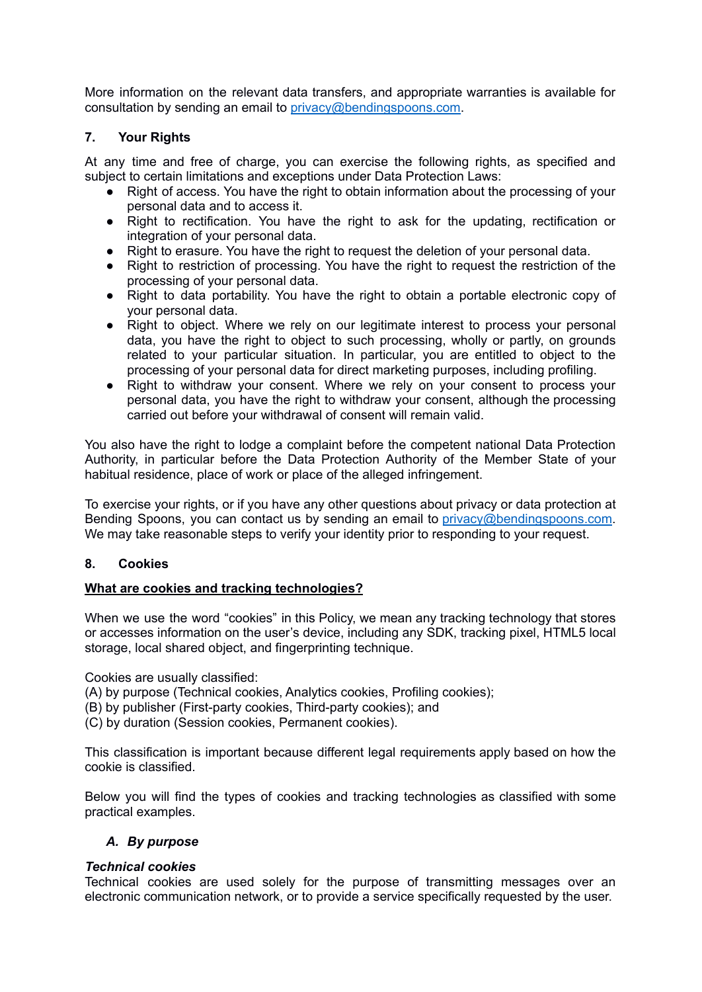More information on the relevant data transfers, and appropriate warranties is available for consultation by sending an email to [privacy@bendingspoons.com](mailto:privacy@bendingspoons.com).

## **7. Your Rights**

At any time and free of charge, you can exercise the following rights, as specified and subject to certain limitations and exceptions under Data Protection Laws:

- Right of access. You have the right to obtain information about the processing of your personal data and to access it.
- Right to rectification. You have the right to ask for the updating, rectification or integration of your personal data.
- Right to erasure. You have the right to request the deletion of your personal data.
- Right to restriction of processing. You have the right to request the restriction of the processing of your personal data.
- Right to data portability. You have the right to obtain a portable electronic copy of your personal data.
- Right to object. Where we rely on our legitimate interest to process your personal data, you have the right to object to such processing, wholly or partly, on grounds related to your particular situation. In particular, you are entitled to object to the processing of your personal data for direct marketing purposes, including profiling.
- Right to withdraw your consent. Where we rely on your consent to process your personal data, you have the right to withdraw your consent, although the processing carried out before your withdrawal of consent will remain valid.

You also have the right to lodge a complaint before the competent national Data Protection Authority, in particular before the Data Protection Authority of the Member State of your habitual residence, place of work or place of the alleged infringement.

To exercise your rights, or if you have any other questions about privacy or data protection at Bending Spoons, you can contact us by sending an email to [privacy@bendingspoons.com.](mailto:privacy@bendingspoons.com) We may take reasonable steps to verify your identity prior to responding to your request.

## <span id="page-2-0"></span>**8. Cookies**

## **What are cookies and tracking technologies?**

When we use the word "cookies" in this Policy, we mean any tracking technology that stores or accesses information on the user's device, including any SDK, tracking pixel, HTML5 local storage, local shared object, and fingerprinting technique.

Cookies are usually classified:

- (A) by purpose (Technical cookies, Analytics cookies, Profiling cookies);
- (B) by publisher (First-party cookies, Third-party cookies); and
- (C) by duration (Session cookies, Permanent cookies).

This classification is important because different legal requirements apply based on how the cookie is classified.

Below you will find the types of cookies and tracking technologies as classified with some practical examples.

### *A. By purpose*

### *Technical cookies*

Technical cookies are used solely for the purpose of transmitting messages over an electronic communication network, or to provide a service specifically requested by the user.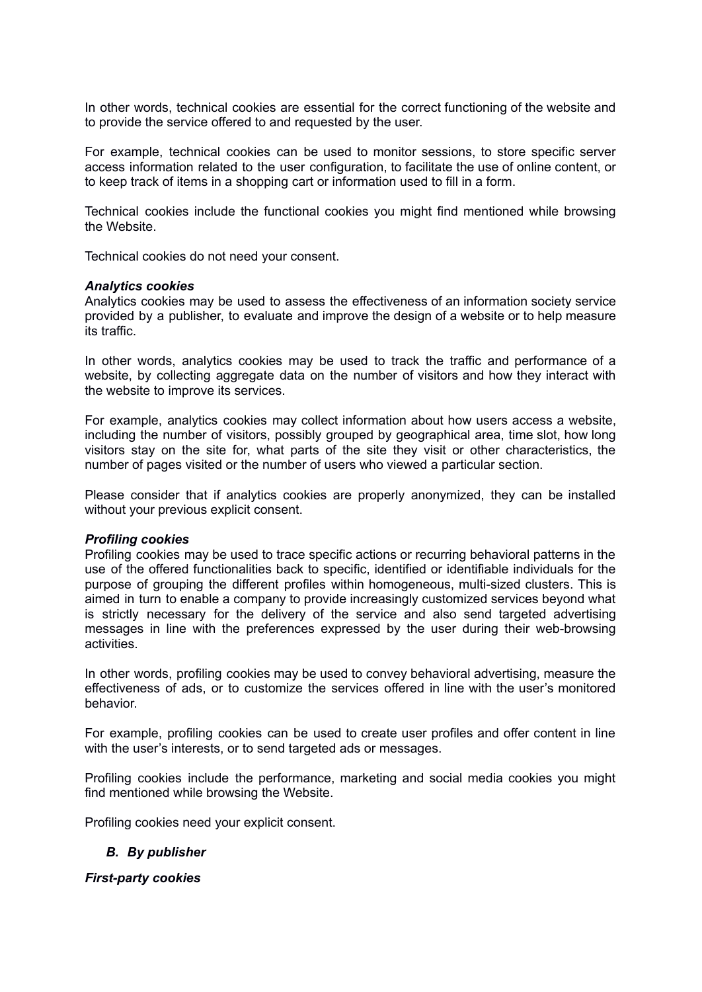In other words, technical cookies are essential for the correct functioning of the website and to provide the service offered to and requested by the user.

For example, technical cookies can be used to monitor sessions, to store specific server access information related to the user configuration, to facilitate the use of online content, or to keep track of items in a shopping cart or information used to fill in a form.

Technical cookies include the functional cookies you might find mentioned while browsing the Website.

Technical cookies do not need your consent.

#### *Analytics cookies*

Analytics cookies may be used to assess the effectiveness of an information society service provided by a publisher, to evaluate and improve the design of a website or to help measure its traffic.

In other words, analytics cookies may be used to track the traffic and performance of a website, by collecting aggregate data on the number of visitors and how they interact with the website to improve its services.

For example, analytics cookies may collect information about how users access a website, including the number of visitors, possibly grouped by geographical area, time slot, how long visitors stay on the site for, what parts of the site they visit or other characteristics, the number of pages visited or the number of users who viewed a particular section.

Please consider that if analytics cookies are properly anonymized, they can be installed without your previous explicit consent.

### *Profiling cookies*

Profiling cookies may be used to trace specific actions or recurring behavioral patterns in the use of the offered functionalities back to specific, identified or identifiable individuals for the purpose of grouping the different profiles within homogeneous, multi-sized clusters. This is aimed in turn to enable a company to provide increasingly customized services beyond what is strictly necessary for the delivery of the service and also send targeted advertising messages in line with the preferences expressed by the user during their web-browsing activities.

In other words, profiling cookies may be used to convey behavioral advertising, measure the effectiveness of ads, or to customize the services offered in line with the user's monitored behavior.

For example, profiling cookies can be used to create user profiles and offer content in line with the user's interests, or to send targeted ads or messages.

Profiling cookies include the performance, marketing and social media cookies you might find mentioned while browsing the Website.

Profiling cookies need your explicit consent.

### *B. By publisher*

### *First-party cookies*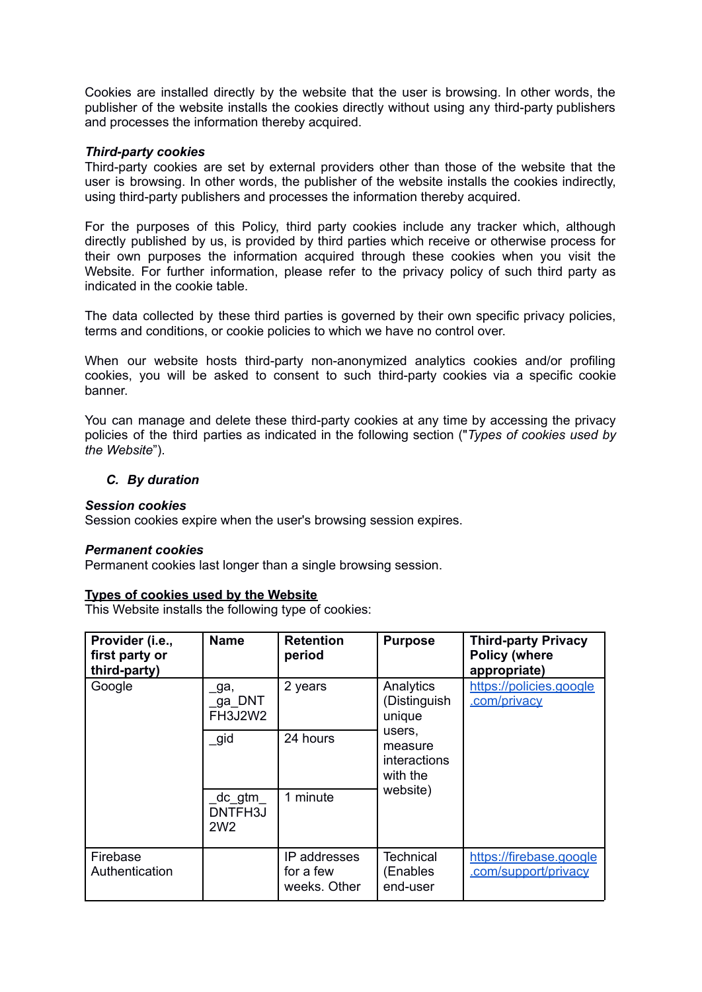Cookies are installed directly by the website that the user is browsing. In other words, the publisher of the website installs the cookies directly without using any third-party publishers and processes the information thereby acquired.

## *Third-party cookies*

Third-party cookies are set by external providers other than those of the website that the user is browsing. In other words, the publisher of the website installs the cookies indirectly, using third-party publishers and processes the information thereby acquired.

For the purposes of this Policy, third party cookies include any tracker which, although directly published by us, is provided by third parties which receive or otherwise process for their own purposes the information acquired through these cookies when you visit the Website. For further information, please refer to the privacy policy of such third party as indicated in the cookie table.

The data collected by these third parties is governed by their own specific privacy policies, terms and conditions, or cookie policies to which we have no control over.

When our website hosts third-party non-anonymized analytics cookies and/or profiling cookies, you will be asked to consent to such third-party cookies via a specific cookie banner.

You can manage and delete these third-party cookies at any time by accessing the privacy policies of the third parties as indicated in the following section ("*Types of cookies used by the Website*").

## *C. By duration*

### *Session cookies*

Session cookies expire when the user's browsing session expires.

### *Permanent cookies*

Permanent cookies last longer than a single browsing session.

## **Types of cookies used by the Website**

This Website installs the following type of cookies:

| Provider (i.e.,<br>first party or<br>third-party) | <b>Name</b>                           | <b>Retention</b><br>period                | <b>Purpose</b>                                                                                                   | <b>Third-party Privacy</b><br><b>Policy (where</b><br>appropriate) |
|---------------------------------------------------|---------------------------------------|-------------------------------------------|------------------------------------------------------------------------------------------------------------------|--------------------------------------------------------------------|
| Google                                            | ga,<br>ga DNT<br>FH3J2W2              | 2 years                                   | Analytics<br>(Distinguish<br>.com/privacy<br>unique<br>users.<br>measure<br>interactions<br>with the<br>website) | https://policies.google                                            |
|                                                   | gid                                   | 24 hours                                  |                                                                                                                  |                                                                    |
|                                                   | _dc_gtm<br>DNTFH3J<br>2W <sub>2</sub> | 1 minute                                  |                                                                                                                  |                                                                    |
| Firebase<br>Authentication                        |                                       | IP addresses<br>for a few<br>weeks. Other | <b>Technical</b><br>(Enables<br>end-user                                                                         | https://firebase.google<br>.com/support/privacy                    |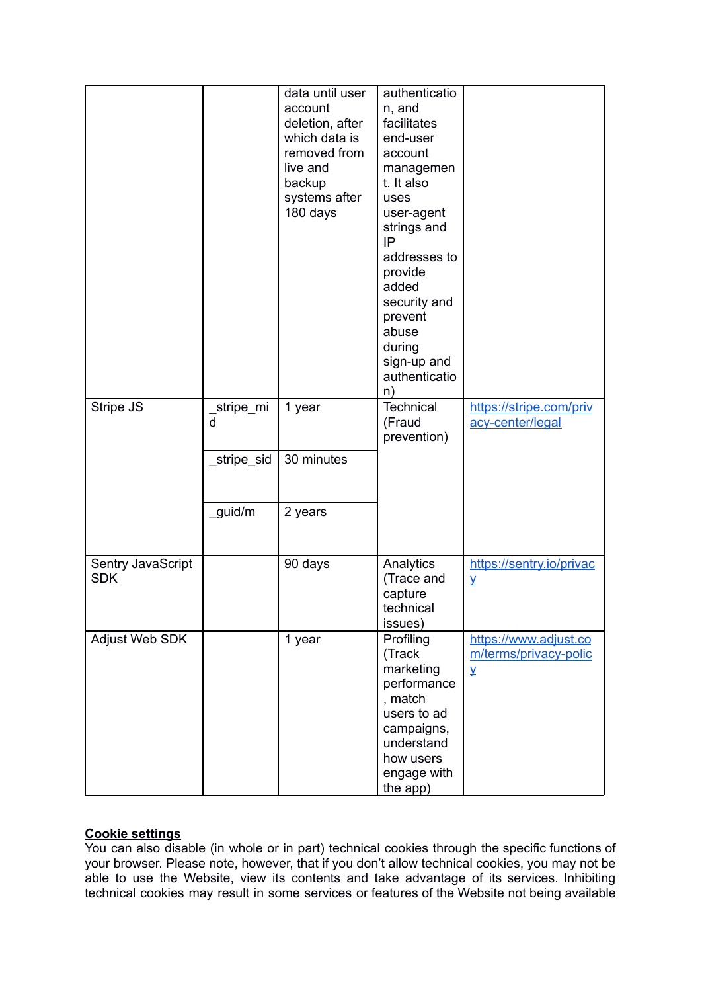|                                 |                            | data until user<br>account<br>deletion, after<br>which data is<br>removed from<br>live and<br>backup<br>systems after<br>180 days | authenticatio<br>n, and<br>facilitates<br>end-user<br>account<br>managemen<br>t. It also<br>uses<br>user-agent<br>strings and<br>IP<br>addresses to<br>provide<br>added<br>security and<br>prevent<br>abuse<br>during<br>sign-up and<br>authenticatio<br>n) |                                                                        |
|---------------------------------|----------------------------|-----------------------------------------------------------------------------------------------------------------------------------|-------------------------------------------------------------------------------------------------------------------------------------------------------------------------------------------------------------------------------------------------------------|------------------------------------------------------------------------|
| Stripe JS                       | _stripe_mi<br>$\mathsf{d}$ | 1 year                                                                                                                            | <b>Technical</b><br>(Fraud<br>prevention)                                                                                                                                                                                                                   | https://stripe.com/priv<br>acy-center/legal                            |
|                                 | _stripe_sid                | 30 minutes                                                                                                                        |                                                                                                                                                                                                                                                             |                                                                        |
|                                 | guid/m                     | 2 years                                                                                                                           |                                                                                                                                                                                                                                                             |                                                                        |
| Sentry JavaScript<br><b>SDK</b> |                            | 90 days                                                                                                                           | Analytics<br>(Trace and<br>capture<br>technical<br>issues)                                                                                                                                                                                                  | https://sentry.io/privac<br>Y                                          |
| Adjust Web SDK                  |                            | 1 year                                                                                                                            | Profiling<br>(Track<br>marketing<br>performance<br>, match<br>users to ad<br>campaigns,<br>understand<br>how users<br>engage with<br>the app)                                                                                                               | https://www.adjust.co<br>m/terms/privacy-polic<br>$\overline{\lambda}$ |

# **Cookie settings**

You can also disable (in whole or in part) technical cookies through the specific functions of your browser. Please note, however, that if you don't allow technical cookies, you may not be able to use the Website, view its contents and take advantage of its services. Inhibiting technical cookies may result in some services or features of the Website not being available